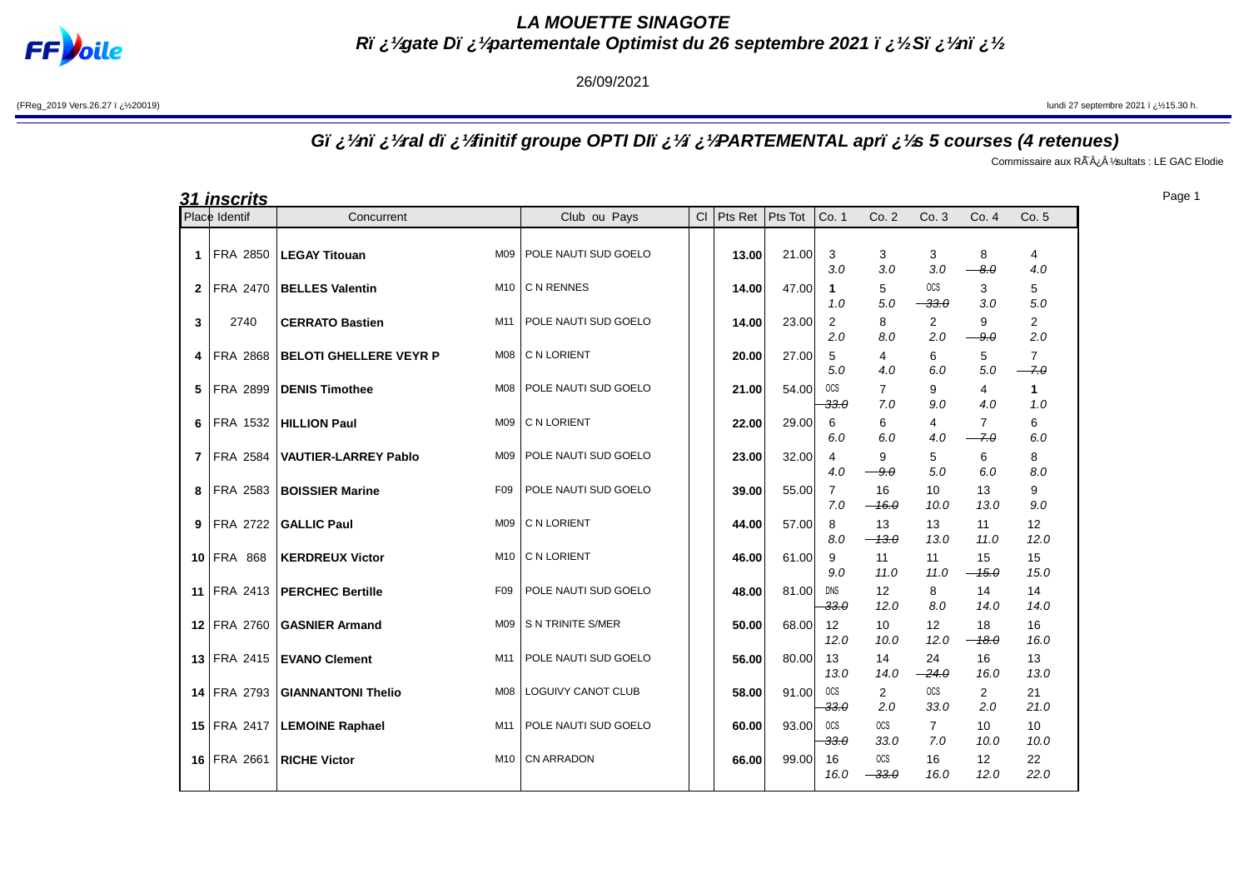

**LA MOUETTE SINAGOTE Rï ¿½gate Dï ¿½partementale Optimist du 26 septembre 2021 ï ¿½Sï ¿½nï ¿½**

## 26/09/2021

(FReg\_2019 Vers.26.27 ï ¿½20019) **Statember 2021 ï** ¿½15.30 h.

## **Gï ¿½nï ¿½ral dï ¿½finitif groupe OPTI DIï ¿½ï ¿½PARTEMENTAL aprï ¿½s 5 courses (4 retenues)**

Commissaire aux Rà ¿Â 1⁄sultats : LE GAC Elodie

|    | <b>31 inscrits</b> |                               |                 |                      |    |         |         |                       |                         |                           |                          |                          |
|----|--------------------|-------------------------------|-----------------|----------------------|----|---------|---------|-----------------------|-------------------------|---------------------------|--------------------------|--------------------------|
|    | Place Identif      | Concurrent                    |                 | Club ou Pays         | CI | Pts Ret | Pts Tot | Co. 1                 | Co.2                    | Co.3                      | Co.4                     | Co. 5                    |
| 1  | FRA 2850           | <b>LEGAY Titouan</b>          | M09             | POLE NAUTI SUD GOELO |    | 13.00   | 21.00   | 3<br>3.0              | 3<br>3.0                | 3<br>3.0                  | 8<br>$-8.0$              | 4<br>4.0                 |
| 2  | FRA 2470           | <b>BELLES Valentin</b>        | M10             | C N RENNES           |    | 14.00   | 47.00   | 1<br>1.0              | 5<br>5.0                | <sub>OCS</sub><br>$-33.0$ | 3<br>3.0                 | 5<br>5.0                 |
| 3  | 2740               | <b>CERRATO Bastien</b>        | M11             | POLE NAUTI SUD GOELO |    | 14.00   | 23.00   | $\overline{2}$<br>2.0 | 8<br>8.0                | $\overline{2}$<br>2.0     | 9<br>$-9.0$              | $\overline{2}$<br>2.0    |
| 4  | <b>FRA 2868</b>    | <b>BELOTI GHELLERE VEYR P</b> | <b>M08</b>      | C N LORIENT          |    | 20.00   | 27.00   | 5<br>5.0              | 4<br>4.0                | 6<br>6.0                  | 5<br>5.0                 | $\overline{7}$<br>$-7.0$ |
| 5  | FRA 2899           | <b>DENIS Timothee</b>         | <b>M08</b>      | POLE NAUTI SUD GOELO |    | 21.00   | 54.00   | <b>OCS</b><br>$-33.0$ | $\overline{7}$<br>7.0   | 9<br>9.0                  | 4<br>4.0                 | $\mathbf{1}$<br>1.0      |
| 6  | FRA 1532           | <b>HILLION Paul</b>           | M09             | C N LORIENT          |    | 22.00   | 29.00   | 6<br>6.0              | 6<br>6.0                | 4<br>4.0                  | 7<br>$-7.0$              | 6<br>6.0                 |
| 7  | <b>FRA 2584</b>    | <b>VAUTIER-LARREY Pablo</b>   | M09             | POLE NAUTI SUD GOELO |    | 23.00   | 32.00   | 4<br>4.0              | 9<br>$-9.0$             | 5<br>5.0                  | 6<br>6.0                 | 8<br>8.0                 |
| 8  | FRA 2583           | <b>BOISSIER Marine</b>        | F <sub>09</sub> | POLE NAUTI SUD GOELO |    | 39.00   | 55.00   | $\overline{7}$<br>7.0 | 16<br>$-16.0$           | 10<br>10.0                | 13<br>13.0               | 9<br>9.0                 |
| 9  | FRA 2722           | <b>GALLIC Paul</b>            | M09             | C N LORIENT          |    | 44.00   | 57.00   | 8<br>8.0              | 13<br>$-43.0$           | 13<br>13.0                | 11<br>11.0               | 12<br>12.0               |
| 10 | <b>FRA 868</b>     | <b>KERDREUX Victor</b>        | M10             | C N LORIENT          |    | 46.00   | 61.00   | 9<br>9.0              | 11<br>11.0              | 11<br>11.0                | 15<br>$-15.0$            | 15<br>15.0               |
| 11 | FRA 2413           | <b>PERCHEC Bertille</b>       | F <sub>09</sub> | POLE NAUTI SUD GOELO |    | 48.00   | 81.00   | DNS<br>$-33.0$        | 12<br>12.0              | 8<br>8.0                  | 14<br>14.0               | 14<br>14.0               |
| 12 | FRA 2760           | <b>GASNIER Armand</b>         | M09             | S N TRINITE S/MER    |    | 50.00   | 68.00   | 12<br>12.0            | 10<br>10.0              | $12 \overline{ }$<br>12.0 | 18<br>$-18.0$            | 16<br>16.0               |
|    | 13 FRA 2415        | <b>EVANO Clement</b>          | M11             | POLE NAUTI SUD GOELO |    | 56.00   | 80.00   | 13<br>13.0            | 14<br>14.0              | 24<br>$-24.0$             | 16<br>16.0               | 13<br>13.0               |
| 14 | FRA 2793           | <b>GIANNANTONI Thelio</b>     | <b>M08</b>      | LOGUIVY CANOT CLUB   |    | 58.00   | 91.00   | <b>OCS</b><br>$-33.0$ | $\overline{2}$<br>2.0   | <b>OCS</b><br>33.0        | $\overline{2}$<br>2.0    | 21<br>21.0               |
|    | 15 FRA 2417        | <b>LEMOINE Raphael</b>        | M11             | POLE NAUTI SUD GOELO |    | 60.00   | 93.00   | <b>OCS</b><br>$-33.0$ | <b>OCS</b><br>33.0      | $\overline{7}$<br>7.0     | 10 <sup>10</sup><br>10.0 | 10<br>10.0               |
|    | 16 FRA 2661        | <b>RICHE Victor</b>           | M10             | <b>CN ARRADON</b>    |    | 66.00   | 99.00   | 16<br>16.0            | $_{\rm OCS}$<br>$-33.0$ | 16<br>16.0                | 12 <sup>°</sup><br>12.0  | 22<br>22.0               |

Page 1